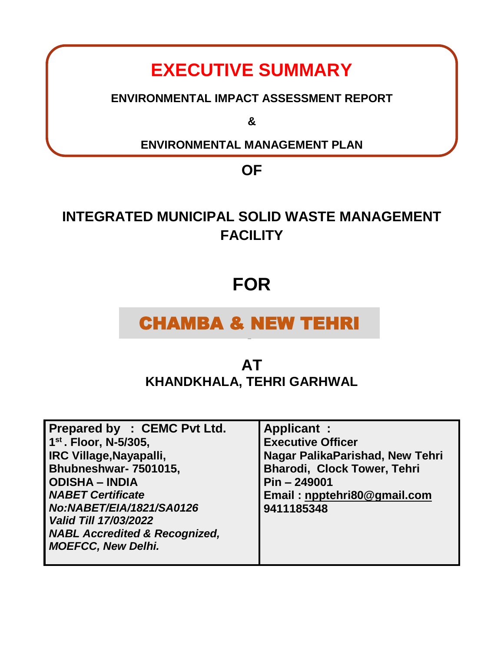# **EXECUTIVE SUMMARY**

**ENVIRONMENTAL IMPACT ASSESSMENT REPORT**

**&**

**ENVIRONMENTAL MANAGEMENT PLAN** 

**OF** 

# **INTEGRATED MUNICIPAL SOLID WASTE MANAGEMENT FACILITY**

# **FOR**

# CHAMBA & NEW TEHRI

I

# **AT KHANDKHALA, TEHRI GARHWAL**

| Prepared by : CEMC Pvt Ltd.              | <b>Applicant:</b>               |
|------------------------------------------|---------------------------------|
| $1^{st}$ . Floor, N-5/305,               | <b>Executive Officer</b>        |
| <b>IRC Village, Nayapalli,</b>           | Nagar PalikaParishad, New Tehri |
| Bhubneshwar- 7501015,                    | Bharodi, Clock Tower, Tehri     |
| <b>ODISHA - INDIA</b>                    | $Pin - 249001$                  |
| <b>NABET Certificate</b>                 | Email: npptehri80@gmail.com     |
| No:NABET/EIA/1821/SA0126                 | 9411185348                      |
| <b>Valid Till 17/03/2022</b>             |                                 |
| <b>NABL Accredited &amp; Recognized,</b> |                                 |
| <b>MOEFCC, New Delhi.</b>                |                                 |
|                                          |                                 |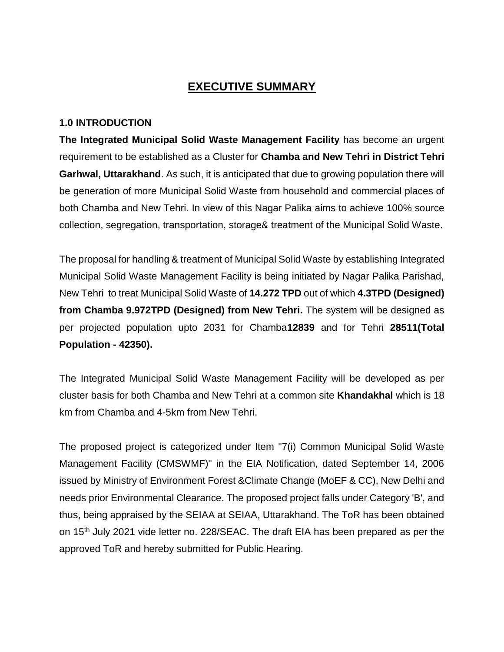# **EXECUTIVE SUMMARY**

#### **1.0 INTRODUCTION**

**The Integrated Municipal Solid Waste Management Facility** has become an urgent requirement to be established as a Cluster for **Chamba and New Tehri in District Tehri Garhwal, Uttarakhand**. As such, it is anticipated that due to growing population there will be generation of more Municipal Solid Waste from household and commercial places of both Chamba and New Tehri. In view of this Nagar Palika aims to achieve 100% source collection, segregation, transportation, storage& treatment of the Municipal Solid Waste.

The proposal for handling & treatment of Municipal Solid Waste by establishing Integrated Municipal Solid Waste Management Facility is being initiated by Nagar Palika Parishad, New Tehri to treat Municipal Solid Waste of **14.272 TPD** out of which **4.3TPD (Designed) from Chamba 9.972TPD (Designed) from New Tehri.** The system will be designed as per projected population upto 2031 for Chamba**12839** and for Tehri **28511(Total Population - 42350).**

The Integrated Municipal Solid Waste Management Facility will be developed as per cluster basis for both Chamba and New Tehri at a common site **Khandakhal** which is 18 km from Chamba and 4-5km from New Tehri.

The proposed project is categorized under Item "7(i) Common Municipal Solid Waste Management Facility (CMSWMF)" in the EIA Notification, dated September 14, 2006 issued by Ministry of Environment Forest &Climate Change (MoEF & CC), New Delhi and needs prior Environmental Clearance. The proposed project falls under Category 'B', and thus, being appraised by the SEIAA at SEIAA, Uttarakhand. The ToR has been obtained on 15th July 2021 vide letter no. 228/SEAC. The draft EIA has been prepared as per the approved ToR and hereby submitted for Public Hearing.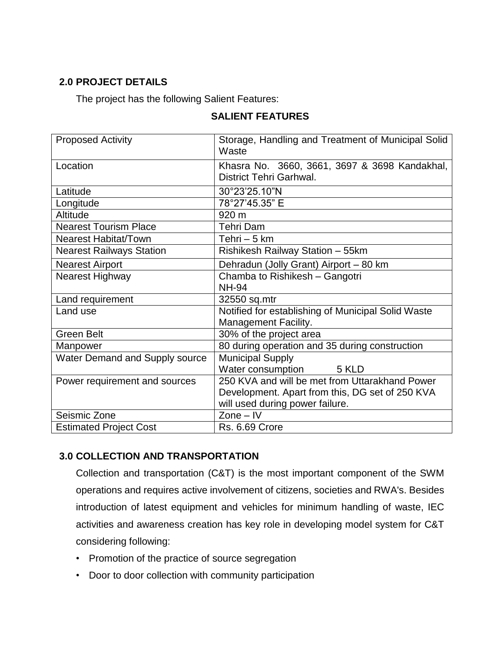## **2.0 PROJECT DETAILS**

The project has the following Salient Features:

| <b>Proposed Activity</b>        | Storage, Handling and Treatment of Municipal Solid<br>Waste              |  |
|---------------------------------|--------------------------------------------------------------------------|--|
| Location                        | Khasra No. 3660, 3661, 3697 & 3698 Kandakhal,<br>District Tehri Garhwal. |  |
| Latitude                        | 30°23'25.10"N                                                            |  |
| Longitude                       | 78°27'45.35" E                                                           |  |
| Altitude                        | 920 m                                                                    |  |
| <b>Nearest Tourism Place</b>    | <b>Tehri Dam</b>                                                         |  |
| <b>Nearest Habitat/Town</b>     | Tehri $-5$ km                                                            |  |
| <b>Nearest Railways Station</b> | Rishikesh Railway Station - 55km                                         |  |
| <b>Nearest Airport</b>          | Dehradun (Jolly Grant) Airport - 80 km                                   |  |
| Nearest Highway                 | Chamba to Rishikesh - Gangotri                                           |  |
|                                 | <b>NH-94</b>                                                             |  |
| Land requirement                | 32550 sq.mtr                                                             |  |
| Land use                        | Notified for establishing of Municipal Solid Waste                       |  |
|                                 | <b>Management Facility.</b>                                              |  |
| <b>Green Belt</b>               | 30% of the project area                                                  |  |
| Manpower                        | 80 during operation and 35 during construction                           |  |
| Water Demand and Supply source  | <b>Municipal Supply</b>                                                  |  |
|                                 | Water consumption 5 KLD                                                  |  |
| Power requirement and sources   | 250 KVA and will be met from Uttarakhand Power                           |  |
|                                 | Development. Apart from this, DG set of 250 KVA                          |  |
|                                 | will used during power failure.                                          |  |
| Seismic Zone                    | $Zone - IV$                                                              |  |
| <b>Estimated Project Cost</b>   | <b>Rs. 6.69 Crore</b>                                                    |  |

## **SALIENT FEATURES**

## **3.0 COLLECTION AND TRANSPORTATION**

Collection and transportation (C&T) is the most important component of the SWM operations and requires active involvement of citizens, societies and RWA's. Besides introduction of latest equipment and vehicles for minimum handling of waste, IEC activities and awareness creation has key role in developing model system for C&T considering following:

- Promotion of the practice of source segregation
- Door to door collection with community participation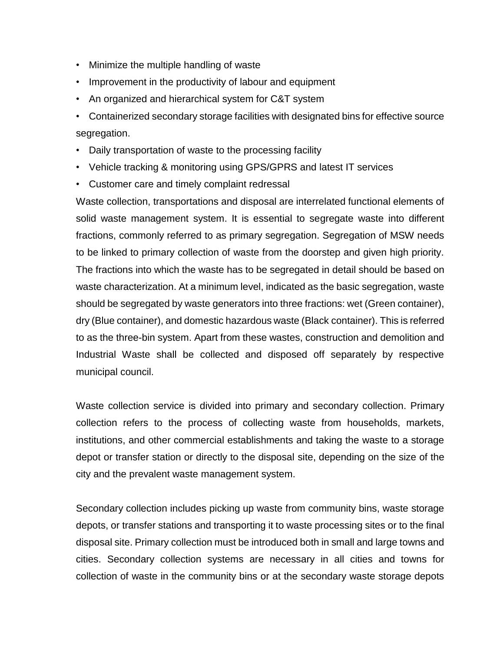- Minimize the multiple handling of waste
- Improvement in the productivity of labour and equipment
- An organized and hierarchical system for C&T system
- Containerized secondary storage facilities with designated bins for effective source segregation.
- Daily transportation of waste to the processing facility
- Vehicle tracking & monitoring using GPS/GPRS and latest IT services
- Customer care and timely complaint redressal

Waste collection, transportations and disposal are interrelated functional elements of solid waste management system. It is essential to segregate waste into different fractions, commonly referred to as primary segregation. Segregation of MSW needs to be linked to primary collection of waste from the doorstep and given high priority. The fractions into which the waste has to be segregated in detail should be based on waste characterization. At a minimum level, indicated as the basic segregation, waste should be segregated by waste generators into three fractions: wet (Green container), dry (Blue container), and domestic hazardous waste (Black container). This is referred to as the three-bin system. Apart from these wastes, construction and demolition and Industrial Waste shall be collected and disposed off separately by respective municipal council.

Waste collection service is divided into primary and secondary collection. Primary collection refers to the process of collecting waste from households, markets, institutions, and other commercial establishments and taking the waste to a storage depot or transfer station or directly to the disposal site, depending on the size of the city and the prevalent waste management system.

Secondary collection includes picking up waste from community bins, waste storage depots, or transfer stations and transporting it to waste processing sites or to the final disposal site. Primary collection must be introduced both in small and large towns and cities. Secondary collection systems are necessary in all cities and towns for collection of waste in the community bins or at the secondary waste storage depots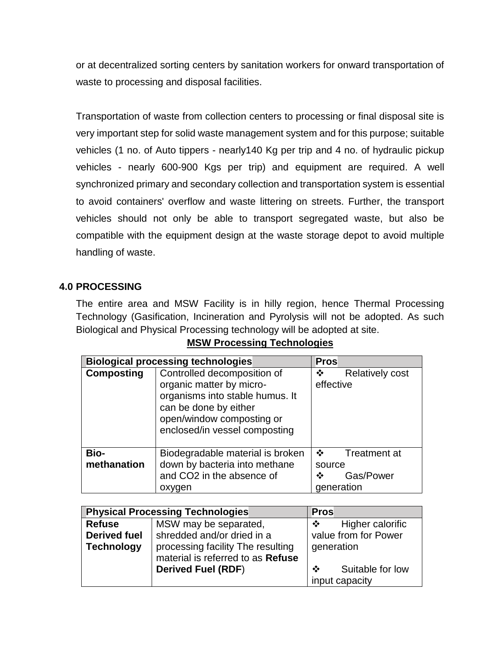or at decentralized sorting centers by sanitation workers for onward transportation of waste to processing and disposal facilities.

Transportation of waste from collection centers to processing or final disposal site is very important step for solid waste management system and for this purpose; suitable vehicles (1 no. of Auto tippers - nearly140 Kg per trip and 4 no. of hydraulic pickup vehicles - nearly 600-900 Kgs per trip) and equipment are required. A well synchronized primary and secondary collection and transportation system is essential to avoid containers' overflow and waste littering on streets. Further, the transport vehicles should not only be able to transport segregated waste, but also be compatible with the equipment design at the waste storage depot to avoid multiple handling of waste.

## **4.0 PROCESSING**

The entire area and MSW Facility is in hilly region, hence Thermal Processing Technology (Gasification, Incineration and Pyrolysis will not be adopted. As such Biological and Physical Processing technology will be adopted at site.

|                            | <b>Biological processing technologies</b>                                                                                                                                         | <b>Pros</b>                                                       |
|----------------------------|-----------------------------------------------------------------------------------------------------------------------------------------------------------------------------------|-------------------------------------------------------------------|
| <b>Composting</b>          | Controlled decomposition of<br>organic matter by micro-<br>organisms into stable humus. It<br>can be done by either<br>open/window composting or<br>enclosed/in vessel composting | <b>Relatively cost</b><br>❖<br>effective                          |
| <b>Bio-</b><br>methanation | Biodegradable material is broken<br>down by bacteria into methane<br>and CO2 in the absence of<br>oxygen                                                                          | $\cdot$<br>Treatment at<br>source<br>Gas/Power<br>❖<br>generation |

#### **MSW Processing Technologies**

|                     | <b>Physical Processing Technologies</b>                                | <b>Pros</b>                             |
|---------------------|------------------------------------------------------------------------|-----------------------------------------|
| <b>Refuse</b>       | MSW may be separated,                                                  | Higher calorific<br>$\mathbf{A}$        |
| <b>Derived fuel</b> | shredded and/or dried in a                                             | value from for Power                    |
| <b>Technology</b>   | processing facility The resulting<br>material is referred to as Refuse | generation                              |
|                     | <b>Derived Fuel (RDF)</b>                                              | Suitable for low<br>❖<br>input capacity |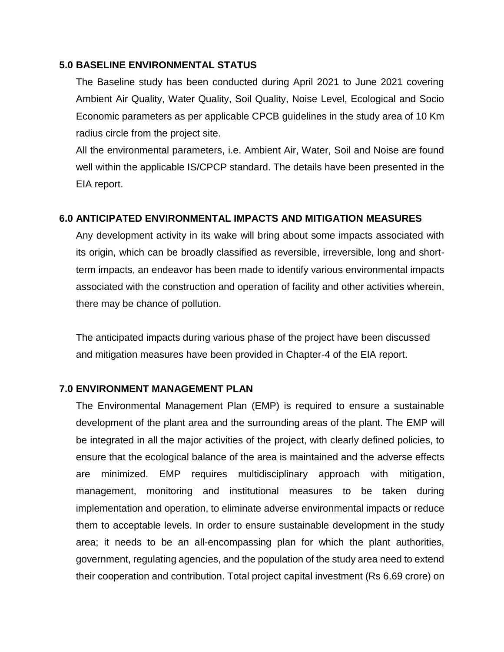#### **5.0 BASELINE ENVIRONMENTAL STATUS**

The Baseline study has been conducted during April 2021 to June 2021 covering Ambient Air Quality, Water Quality, Soil Quality, Noise Level, Ecological and Socio Economic parameters as per applicable CPCB guidelines in the study area of 10 Km radius circle from the project site.

All the environmental parameters, i.e. Ambient Air, Water, Soil and Noise are found well within the applicable IS/CPCP standard. The details have been presented in the EIA report.

#### **6.0 ANTICIPATED ENVIRONMENTAL IMPACTS AND MITIGATION MEASURES**

Any development activity in its wake will bring about some impacts associated with its origin, which can be broadly classified as reversible, irreversible, long and shortterm impacts, an endeavor has been made to identify various environmental impacts associated with the construction and operation of facility and other activities wherein, there may be chance of pollution.

The anticipated impacts during various phase of the project have been discussed and mitigation measures have been provided in Chapter-4 of the EIA report.

#### **7.0 ENVIRONMENT MANAGEMENT PLAN**

The Environmental Management Plan (EMP) is required to ensure a sustainable development of the plant area and the surrounding areas of the plant. The EMP will be integrated in all the major activities of the project, with clearly defined policies, to ensure that the ecological balance of the area is maintained and the adverse effects are minimized. EMP requires multidisciplinary approach with mitigation, management, monitoring and institutional measures to be taken during implementation and operation, to eliminate adverse environmental impacts or reduce them to acceptable levels. In order to ensure sustainable development in the study area; it needs to be an all-encompassing plan for which the plant authorities, government, regulating agencies, and the population of the study area need to extend their cooperation and contribution. Total project capital investment (Rs 6.69 crore) on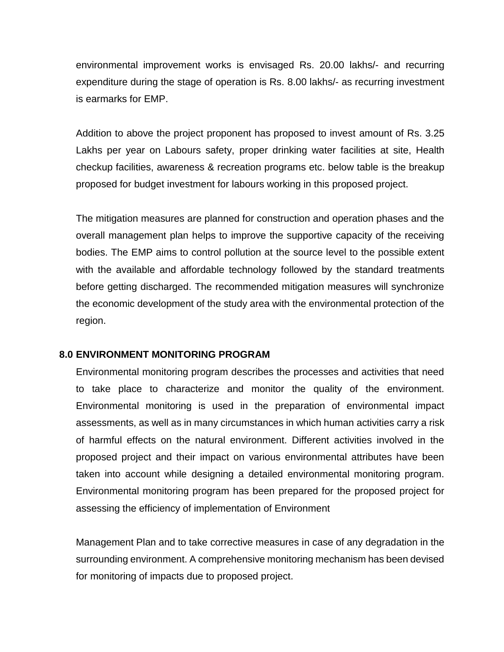environmental improvement works is envisaged Rs. 20.00 lakhs/- and recurring expenditure during the stage of operation is Rs. 8.00 lakhs/- as recurring investment is earmarks for EMP.

Addition to above the project proponent has proposed to invest amount of Rs. 3.25 Lakhs per year on Labours safety, proper drinking water facilities at site, Health checkup facilities, awareness & recreation programs etc. below table is the breakup proposed for budget investment for labours working in this proposed project.

The mitigation measures are planned for construction and operation phases and the overall management plan helps to improve the supportive capacity of the receiving bodies. The EMP aims to control pollution at the source level to the possible extent with the available and affordable technology followed by the standard treatments before getting discharged. The recommended mitigation measures will synchronize the economic development of the study area with the environmental protection of the region.

#### **8.0 ENVIRONMENT MONITORING PROGRAM**

Environmental monitoring program describes the processes and activities that need to take place to characterize and monitor the quality of the environment. Environmental monitoring is used in the preparation of environmental impact assessments, as well as in many circumstances in which human activities carry a risk of harmful effects on the natural environment. Different activities involved in the proposed project and their impact on various environmental attributes have been taken into account while designing a detailed environmental monitoring program. Environmental monitoring program has been prepared for the proposed project for assessing the efficiency of implementation of Environment

Management Plan and to take corrective measures in case of any degradation in the surrounding environment. A comprehensive monitoring mechanism has been devised for monitoring of impacts due to proposed project.